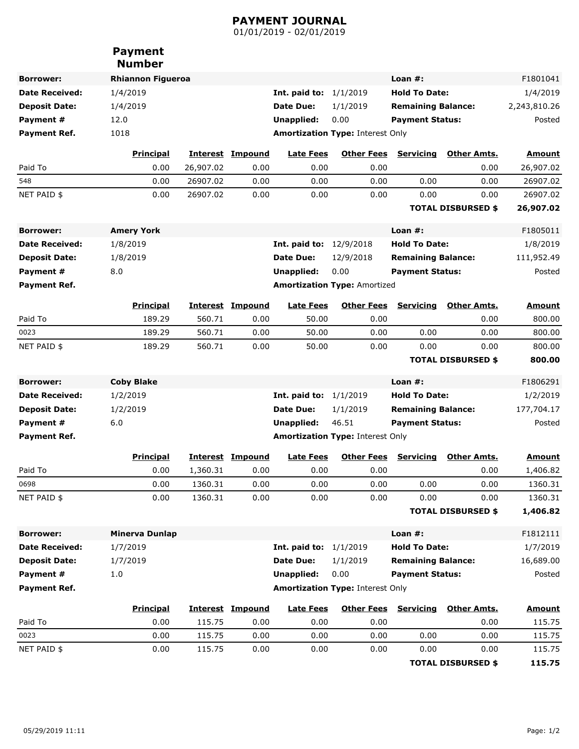## **PAYMENT JOURNAL**

01/01/2019 - 02/01/2019

|                       | <b>Payment</b><br><b>Number</b> |           |                         |                                 |                                         |                             |                           |               |
|-----------------------|---------------------------------|-----------|-------------------------|---------------------------------|-----------------------------------------|-----------------------------|---------------------------|---------------|
| <b>Borrower:</b>      | <b>Rhiannon Figueroa</b>        |           |                         |                                 |                                         | Loan $#$ :                  |                           | F1801041      |
| <b>Date Received:</b> | 1/4/2019                        |           |                         | <b>Int. paid to:</b> $1/1/2019$ |                                         | <b>Hold To Date:</b>        |                           | 1/4/2019      |
| <b>Deposit Date:</b>  | 1/4/2019                        |           |                         | Date Due:                       | 1/1/2019                                | <b>Remaining Balance:</b>   |                           | 2,243,810.26  |
| Payment#              | 12.0                            |           |                         | Unapplied:                      | 0.00                                    | <b>Payment Status:</b>      |                           | Posted        |
| Payment Ref.          | 1018                            |           |                         |                                 | <b>Amortization Type: Interest Only</b> |                             |                           |               |
|                       | <b>Principal</b>                |           | <b>Interest Impound</b> | <b>Late Fees</b>                | <b>Other Fees</b>                       | <b>Servicing</b>            | <b>Other Amts.</b>        | <b>Amount</b> |
| Paid To               | 0.00                            | 26,907.02 | 0.00                    | 0.00                            | 0.00                                    |                             | 0.00                      | 26,907.02     |
| 548                   | 0.00                            | 26907.02  | 0.00                    | 0.00                            | 0.00                                    | 0.00                        | 0.00                      | 26907.02      |
| NET PAID \$           | 0.00                            | 26907.02  | 0.00                    | 0.00                            | 0.00                                    | 0.00                        | 0.00                      | 26907.02      |
|                       |                                 |           |                         |                                 |                                         |                             | <b>TOTAL DISBURSED \$</b> | 26,907.02     |
| <b>Borrower:</b>      | <b>Amery York</b>               |           |                         |                                 |                                         | Loan $#$ :                  |                           | F1805011      |
| <b>Date Received:</b> | 1/8/2019                        |           |                         | <b>Int. paid to:</b> 12/9/2018  |                                         | <b>Hold To Date:</b>        |                           | 1/8/2019      |
| <b>Deposit Date:</b>  | 1/8/2019                        |           |                         | Date Due:                       | 12/9/2018                               | <b>Remaining Balance:</b>   |                           | 111,952.49    |
| Payment#              | 8.0                             |           |                         | Unapplied:                      | 0.00                                    | <b>Payment Status:</b>      |                           | Posted        |
| <b>Payment Ref.</b>   |                                 |           |                         |                                 | <b>Amortization Type: Amortized</b>     |                             |                           |               |
|                       | <b>Principal</b>                |           | <b>Interest Impound</b> | <b>Late Fees</b>                | <b>Other Fees</b>                       | <b>Servicing</b>            | <b>Other Amts.</b>        | <b>Amount</b> |
| Paid To               | 189.29                          | 560.71    | 0.00                    | 50.00                           | 0.00                                    |                             | 0.00                      | 800.00        |
| 0023                  | 189.29                          | 560.71    | 0.00                    | 50.00                           | 0.00                                    | 0.00                        | 0.00                      | 800.00        |
| NET PAID \$           | 189.29                          | 560.71    | 0.00                    | 50.00                           | 0.00                                    | 0.00                        | 0.00                      | 800.00        |
|                       |                                 |           |                         |                                 |                                         |                             | <b>TOTAL DISBURSED \$</b> | 800.00        |
| <b>Borrower:</b>      | <b>Coby Blake</b>               |           |                         |                                 |                                         | Loan $#$ :                  |                           | F1806291      |
| <b>Date Received:</b> | 1/2/2019                        |           |                         | <b>Int. paid to: 1/1/2019</b>   |                                         | <b>Hold To Date:</b>        |                           | 1/2/2019      |
| <b>Deposit Date:</b>  | 1/2/2019                        |           |                         | Date Due:                       | 1/1/2019                                | <b>Remaining Balance:</b>   |                           | 177,704.17    |
| Payment #             | 6.0                             |           |                         | Unapplied:                      | 46.51                                   | <b>Payment Status:</b>      |                           | Posted        |
| <b>Payment Ref.</b>   |                                 |           |                         |                                 | <b>Amortization Type: Interest Only</b> |                             |                           |               |
|                       | <b>Principal</b>                |           | <b>Interest Impound</b> | <b>Late Fees</b>                |                                         | <b>Other Fees Servicing</b> | <b>Other Amts.</b>        | <u>Amount</u> |
| Paid To               | 0.00                            | 1,360.31  | 0.00                    | 0.00                            | 0.00                                    |                             | 0.00                      | 1,406.82      |
| 0698                  | 0.00                            | 1360.31   | 0.00                    | 0.00                            | 0.00                                    | 0.00                        | 0.00                      | 1360.31       |
| NET PAID \$           | 0.00                            | 1360.31   | 0.00                    | 0.00                            | 0.00                                    | 0.00                        | 0.00                      | 1360.31       |
|                       |                                 |           |                         |                                 |                                         |                             | <b>TOTAL DISBURSED \$</b> | 1,406.82      |
| <b>Borrower:</b>      | <b>Minerva Dunlap</b>           |           |                         |                                 |                                         | Loan $#$ :                  |                           | F1812111      |
| <b>Date Received:</b> | 1/7/2019                        |           |                         | <b>Int. paid to:</b> $1/1/2019$ |                                         | <b>Hold To Date:</b>        |                           | 1/7/2019      |
| <b>Deposit Date:</b>  | 1/7/2019                        |           |                         | <b>Date Due:</b>                | 1/1/2019                                | <b>Remaining Balance:</b>   |                           | 16,689.00     |
| Payment #             | 1.0                             |           |                         | <b>Unapplied:</b>               | 0.00                                    | <b>Payment Status:</b>      |                           | Posted        |
| Payment Ref.          |                                 |           |                         |                                 | <b>Amortization Type: Interest Only</b> |                             |                           |               |
|                       | <b>Principal</b>                |           | <b>Interest Impound</b> | <b>Late Fees</b>                | <b>Other Fees</b>                       | Servicing                   | Other Amts.               | <b>Amount</b> |
| Paid To               | 0.00                            | 115.75    | 0.00                    | 0.00                            | 0.00                                    |                             | 0.00                      | 115.75        |
| 0023                  | 0.00                            | 115.75    | 0.00                    | 0.00                            | 0.00                                    | 0.00                        | 0.00                      | 115.75        |
| NET PAID \$           | 0.00                            | 115.75    | 0.00                    | 0.00                            | 0.00                                    | 0.00                        | 0.00                      | 115.75        |
|                       |                                 |           |                         |                                 |                                         |                             | <b>TOTAL DISBURSED \$</b> | 115.75        |